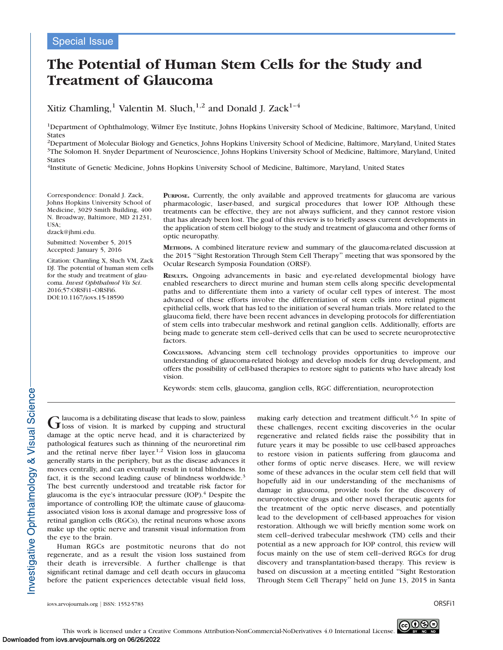## Special Issue

# The Potential of Human Stem Cells for the Study and Treatment of Glaucoma

# Xitiz Chamling,<sup>1</sup> Valentin M. Sluch,<sup>1,2</sup> and Donald J. Zack<sup>1-4</sup>

1Department of Ophthalmology, Wilmer Eye Institute, Johns Hopkins University School of Medicine, Baltimore, Maryland, United States

2Department of Molecular Biology and Genetics, Johns Hopkins University School of Medicine, Baltimore, Maryland, United States 3The Solomon H. Snyder Department of Neuroscience, Johns Hopkins University School of Medicine, Baltimore, Maryland, United States

4Institute of Genetic Medicine, Johns Hopkins University School of Medicine, Baltimore, Maryland, United States

Correspondence: Donald J. Zack, Johns Hopkins University School of Medicine, 3029 Smith Building, 400 N. Broadway, Baltimore, MD 21231, USA;

dzack@jhmi.edu.

Submitted: November 5, 2015 Accepted: January 5, 2016

Citation: Chamling X, Sluch VM, Zack DJ. The potential of human stem cells for the study and treatment of glaucoma. Invest Ophthalmol Vis Sci. 2016;57:ORSFi1–ORSFi6. DOI:10.1167/iovs.15-18590

PURPOSE. Currently, the only available and approved treatments for glaucoma are various pharmacologic, laser-based, and surgical procedures that lower IOP. Although these treatments can be effective, they are not always sufficient, and they cannot restore vision that has already been lost. The goal of this review is to briefly assess current developments in the application of stem cell biology to the study and treatment of glaucoma and other forms of optic neuropathy.

METHODS. A combined literature review and summary of the glaucoma-related discussion at the 2015 ''Sight Restoration Through Stem Cell Therapy'' meeting that was sponsored by the Ocular Research Symposia Foundation (ORSF).

RESULTS. Ongoing advancements in basic and eye-related developmental biology have enabled researchers to direct murine and human stem cells along specific developmental paths and to differentiate them into a variety of ocular cell types of interest. The most advanced of these efforts involve the differentiation of stem cells into retinal pigment epithelial cells, work that has led to the initiation of several human trials. More related to the glaucoma field, there have been recent advances in developing protocols for differentiation of stem cells into trabecular meshwork and retinal ganglion cells. Additionally, efforts are being made to generate stem cell–derived cells that can be used to secrete neuroprotective factors.

CONCLUSIONS. Advancing stem cell technology provides opportunities to improve our understanding of glaucoma-related biology and develop models for drug development, and offers the possibility of cell-based therapies to restore sight to patients who have already lost vision.

Keywords: stem cells, glaucoma, ganglion cells, RGC differentiation, neuroprotection

Glaucoma is a debilitating disease that leads to slow, painless<br>I loss of vision. It is marked by cupping and structural damage at the optic nerve head, and it is characterized by pathological features such as thinning of the neuroretinal rim and the retinal nerve fiber layer.<sup>1,2</sup> Vision loss in glaucoma generally starts in the periphery, but as the disease advances it moves centrally, and can eventually result in total blindness. In fact, it is the second leading cause of blindness worldwide.<sup>3</sup> The best currently understood and treatable risk factor for glaucoma is the eye's intraocular pressure  $(IOP).<sup>4</sup>$  Despite the importance of controlling IOP, the ultimate cause of glaucomaassociated vision loss is axonal damage and progressive loss of retinal ganglion cells (RGCs), the retinal neurons whose axons make up the optic nerve and transmit visual information from the eye to the brain.

Human RGCs are postmitotic neurons that do not regenerate, and as a result the vision loss sustained from their death is irreversible. A further challenge is that significant retinal damage and cell death occurs in glaucoma before the patient experiences detectable visual field loss,

making early detection and treatment difficult.<sup>5,6</sup> In spite of these challenges, recent exciting discoveries in the ocular regenerative and related fields raise the possibility that in future years it may be possible to use cell-based approaches to restore vision in patients suffering from glaucoma and other forms of optic nerve diseases. Here, we will review some of these advances in the ocular stem cell field that will hopefully aid in our understanding of the mechanisms of damage in glaucoma, provide tools for the discovery of neuroprotective drugs and other novel therapeutic agents for the treatment of the optic nerve diseases, and potentially lead to the development of cell-based approaches for vision restoration. Although we will briefly mention some work on stem cell–derived trabecular meshwork (TM) cells and their potential as a new approach for IOP control, this review will focus mainly on the use of stem cell–derived RGCs for drug discovery and transplantation-based therapy. This review is based on discussion at a meeting entitled ''Sight Restoration Through Stem Cell Therapy'' held on June 13, 2015 in Santa

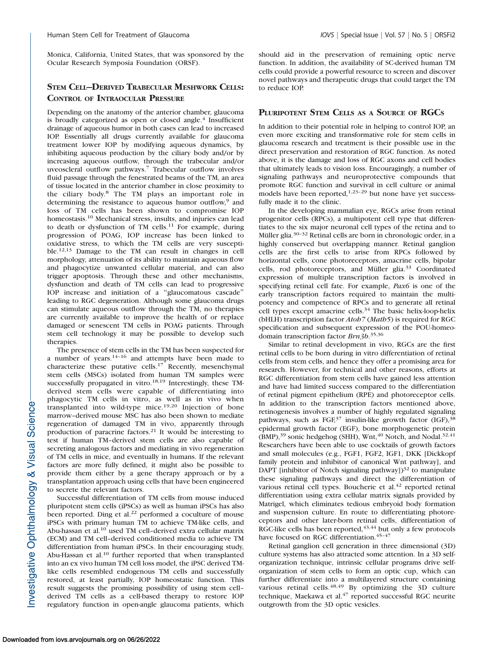Monica, California, United States, that was sponsored by the Ocular Research Symposia Foundation (ORSF).

## STEM CELL-DERIVED TRABECULAR MESHWORK CELLS: CONTROL OF INTRAOCULAR PRESSURE

Depending on the anatomy of the anterior chamber, glaucoma is broadly categorized as open or closed angle.<sup>4</sup> Insufficient drainage of aqueous humor in both cases can lead to increased IOP. Essentially all drugs currently available for glaucoma treatment lower IOP by modifying aqueous dynamics, by inhibiting aqueous production by the ciliary body and/or by increasing aqueous outflow, through the trabecular and/or uveoscleral outflow pathways.7 Trabecular outflow involves fluid passage through the fenestrated beams of the TM, an area of tissue located in the anterior chamber in close proximity to the ciliary body.<sup>8</sup> The TM plays an important role in determining the resistance to aqueous humor outflow,<sup>9</sup> and loss of TM cells has been shown to compromise IOP homeostasis.<sup>10</sup> Mechanical stress, insults, and injuries can lead to death or dysfunction of TM cells.<sup>11</sup> For example, during progression of POAG, IOP increase has been linked to oxidative stress, to which the TM cells are very susceptible.12,13 Damage to the TM can result in changes in cell morphology, attenuation of its ability to maintain aqueous flow and phagocytize unwanted cellular material, and can also trigger apoptosis. Through these and other mechanisms, dysfunction and death of TM cells can lead to progressive IOP increase and initiation of a ''glaucomatous cascade'' leading to RGC degeneration. Although some glaucoma drugs can stimulate aqueous outflow through the TM, no therapies are currently available to improve the health of or replace damaged or senescent TM cells in POAG patients. Through stem cell technology it may be possible to develop such therapies.

The presence of stem cells in the TM has been suspected for a number of years. $14-16$  and attempts have been made to characterize these putative cells.<sup>17</sup> Recently, mesenchymal stem cells (MSCs) isolated from human TM samples were successfully propagated in vitro.<sup>18,19</sup> Interestingly, these TMderived stem cells were capable of differentiating into phagocytic TM cells in vitro, as well as in vivo when transplanted into wild-type mice.19,20 Injection of bone marrow–derived mouse MSC has also been shown to mediate regeneration of damaged TM in vivo, apparently through production of paracrine factors.<sup>21</sup> It would be interesting to test if human TM–derived stem cells are also capable of secreting analogous factors and mediating in vivo regeneration of TM cells in mice, and eventually in humans. If the relevant factors are more fully defined, it might also be possible to provide them either by a gene therapy approach or by a transplantation approach using cells that have been engineered to secrete the relevant factors.

Successful differentiation of TM cells from mouse induced pluripotent stem cells (iPSCs) as well as human iPSCs has also been reported. Ding et al.<sup>22</sup> performed a coculture of mouse iPSCs with primary human TM to achieve TM-like cells, and Abu-hassan et al.<sup>10</sup> used TM cell–derived extra cellular matrix (ECM) and TM cell–derived conditioned media to achieve TM differentiation from human iPSCs. In their encouraging study, Abu-Hassan et al.<sup>10</sup> further reported that when transplanted into an ex vivo human TM cell loss model, the iPSC derived TMlike cells resembled endogenous TM cells and successfully restored, at least partially, IOP homeostatic function. This result suggests the promising possibility of using stem cell– derived TM cells as a cell-based therapy to restore IOP regulatory function in open-angle glaucoma patients, which

should aid in the preservation of remaining optic nerve function. In addition, the availability of SC-derived human TM cells could provide a powerful resource to screen and discover novel pathways and therapeutic drugs that could target the TM to reduce IOP.

#### PLURIPOTENT STEM CELLS AS A SOURCE OF RGCS

In addition to their potential role in helping to control IOP, an even more exciting and transformative role for stem cells in glaucoma research and treatment is their possible use in the direct preservation and restoration of RGC function. As noted above, it is the damage and loss of RGC axons and cell bodies that ultimately leads to vision loss. Encouragingly, a number of signaling pathways and neuroprotective compounds that promote RGC function and survival in cell culture or animal models have been reported, $1,23-29$  but none have yet successfully made it to the clinic.

In the developing mammalian eye, RGCs arise from retinal progenitor cells (RPCs), a multipotent cell type that differentiates to the six major neuronal cell types of the retina and to Müller glia. $30-32$  Retinal cells are born in chronologic order, in a highly conserved but overlapping manner. Retinal ganglion cells are the first cells to arise from RPCs followed by horizontal cells, cone photoreceptors, amacrine cells, bipolar cells, rod photoreceptors, and Müller glia.<sup>33</sup> Coordinated expression of multiple transcription factors is involved in specifying retinal cell fate. For example, Pax6 is one of the early transcription factors required to maintain the multipotency and competence of RPCs and to generate all retinal cell types except amacrine cells.<sup>34</sup> The basic helix-loop-helix (bHLH) transcription factor Atoh7 (Math5) is required for RGC specification and subsequent expression of the POU-homeodomain transcription factor Brn3b.<sup>35,36</sup>

Similar to retinal development in vivo, RGCs are the first retinal cells to be born during in vitro differentiation of retinal cells from stem cells, and hence they offer a promising area for research. However, for technical and other reasons, efforts at RGC differentiation from stem cells have gained less attention and have had limited success compared to the differentiation of retinal pigment epithelium (RPE) and photoreceptor cells. In addition to the transcription factors mentioned above, retinogenesis involves a number of highly regulated signaling pathways, such as FGF,<sup>37</sup> insulin-like growth factor (IGF),<sup>36</sup> epidermal growth factor (EGF), bone morphogenetic protein  $(BMP),<sup>39</sup>$  sonic hedgehog (SHH), Wnt,<sup>40</sup> Notch, and Nodal.<sup>32,41</sup> Researchers have been able to use cocktails of growth factors and small molecules (e.g., FGF1, FGF2, IGF1, DKK [Dickkopf family protein and inhibitor of canonical Wnt pathway], and DAPT [inhibitor of Notch signaling pathway]) $32$  to manipulate these signaling pathways and direct the differentiation of various retinal cell types. Boucherie et al.<sup>42</sup> reported retinal differentiation using extra cellular matrix signals provided by Matrigel, which eliminates tedious embryoid body formation and suspension culture. En route to differentiating photoreceptors and other later-born retinal cells, differentiation of RGC-like cells has been reported, $43,44$  but only a few protocols have focused on RGC differentiation.<sup>45-47</sup>

Retinal ganglion cell generation in three dimensional (3D) culture systems has also attracted some attention. In a 3D selforganization technique, intrinsic cellular programs drive selforganization of stem cells to form an optic cup, which can further differentiate into a multilayered structure containing various retinal cells.<sup>48,49</sup> By optimizing the 3D culture technique, Maekawa et al.<sup>47</sup> reported successful RGC neurite outgrowth from the 3D optic vesicles.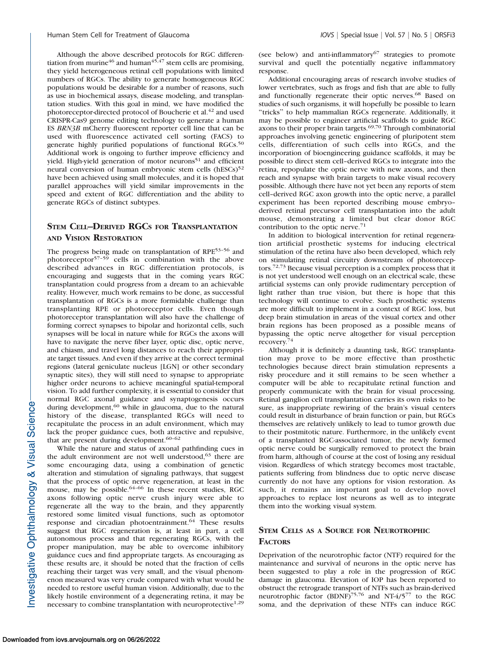Although the above described protocols for RGC differentiation from murine<sup>46</sup> and human<sup>45,47</sup> stem cells are promising, they yield heterogeneous retinal cell populations with limited numbers of RGCs. The ability to generate homogeneous RGC populations would be desirable for a number of reasons, such as use in biochemical assays, disease modeling, and transplantation studies. With this goal in mind, we have modified the photoreceptor-directed protocol of Boucherie et al.<sup>42</sup> and used CRISPR-Cas9 genome editing technology to generate a human ES BRN3B mCherry fluorescent reporter cell line that can be used with fluorescence activated cell sorting (FACS) to generate highly purified populations of functional RGCs.<sup>50</sup> Additional work is ongoing to further improve efficiency and yield. High-yield generation of motor neurons<sup>51</sup> and efficient neural conversion of human embryonic stem cells (hESCs)<sup>52</sup> have been achieved using small molecules, and it is hoped that parallel approaches will yield similar improvements in the speed and extent of RGC differentiation and the ability to generate RGCs of distinct subtypes.

#### STEM CELL-DERIVED RGCS FOR TRANSPLANTATION AND VISION RESTORATION

The progress being made on transplantation of RPE53–56 and photoreceptor57–59 cells in combination with the above described advances in RGC differentiation protocols, is encouraging and suggests that in the coming years RGC transplantation could progress from a dream to an achievable reality. However, much work remains to be done, as successful transplantation of RGCs is a more formidable challenge than transplanting RPE or photoreceptor cells. Even though photoreceptor transplantation will also have the challenge of forming correct synapses to bipolar and horizontal cells, such synapses will be local in nature while for RGCs the axons will have to navigate the nerve fiber layer, optic disc, optic nerve, and chiasm, and travel long distances to reach their appropriate target tissues. And even if they arrive at the correct terminal regions (lateral geniculate nucleus [LGN] or other secondary synaptic sites), they will still need to synapse to appropriate higher order neurons to achieve meaningful spatial-temporal vision. To add further complexity, it is essential to consider that normal RGC axonal guidance and synaptogenesis occurs during development,<sup>60</sup> while in glaucoma, due to the natural history of the disease, transplanted RGCs will need to recapitulate the process in an adult environment, which may lack the proper guidance cues, both attractive and repulsive, that are present during development.<sup>60-62</sup>

While the nature and status of axonal pathfinding cues in the adult environment are not well understood, $63$  there are some encouraging data, using a combination of genetic alteration and stimulation of signaling pathways, that suggest that the process of optic nerve regeneration, at least in the mouse, may be possible.<sup>64-66</sup> In these recent studies, RGC axons following optic nerve crush injury were able to regenerate all the way to the brain, and they apparently restored some limited visual functions, such as optomotor response and circadian photoentrainment.<sup>64</sup> These results suggest that RGC regeneration is, at least in part, a cell autonomous process and that regenerating RGCs, with the proper manipulation, may be able to overcome inhibitory guidance cues and find appropriate targets. As encouraging as these results are, it should be noted that the fraction of cells reaching their target was very small, and the visual phenomenon measured was very crude compared with what would be needed to restore useful human vision. Additionally, due to the likely hostile environment of a degenerating retina, it may be necessary to combine transplantation with neuroprotective $1,29$ 

(see below) and anti-inflammatory<sup>67</sup> strategies to promote survival and quell the potentially negative inflammatory response.

Additional encouraging areas of research involve studies of lower vertebrates, such as frogs and fish that are able to fully and functionally regenerate their optic nerves.<sup>68</sup> Based on studies of such organisms, it will hopefully be possible to learn ''tricks'' to help mammalian RGCs regenerate. Additionally, it may be possible to engineer artificial scaffolds to guide RGC axons to their proper brain targets.69,70 Through combinatorial approaches involving genetic engineering of pluripotent stem cells, differentiation of such cells into RGCs, and the incorporation of bioengineering guidance scaffolds, it may be possible to direct stem cell–derived RGCs to integrate into the retina, repopulate the optic nerve with new axons, and then reach and synapse with brain targets to make visual recovery possible. Although there have not yet been any reports of stem cell–derived RGC axon growth into the optic nerve, a parallel experiment has been reported describing mouse embryo– derived retinal precursor cell transplantation into the adult mouse, demonstrating a limited but clear donor RGC contribution to the optic nerve.<sup>71</sup>

In addition to biological intervention for retinal regeneration artificial prosthetic systems for inducing electrical stimulation of the retina have also been developed, which rely on stimulating retinal circuitry downstream of photoreceptors.72,73 Because visual perception is a complex process that it is not yet understood well enough on an electrical scale, these artificial systems can only provide rudimentary perception of light rather than true vision, but there is hope that this technology will continue to evolve. Such prosthetic systems are more difficult to implement in a context of RGC loss, but deep brain stimulation in areas of the visual cortex and other brain regions has been proposed as a possible means of bypassing the optic nerve altogether for visual perception recovery.

Although it is definitely a daunting task, RGC transplantation may prove to be more effective than prosthetic technologies because direct brain stimulation represents a risky procedure and it still remains to be seen whether a computer will be able to recapitulate retinal function and properly communicate with the brain for visual processing. Retinal ganglion cell transplantation carries its own risks to be sure, as inappropriate rewiring of the brain's visual centers could result in disturbance of brain function or pain, but RGCs themselves are relatively unlikely to lead to tumor growth due to their postmitotic nature. Furthermore, in the unlikely event of a transplanted RGC-associated tumor, the newly formed optic nerve could be surgically removed to protect the brain from harm, although of course at the cost of losing any residual vision. Regardless of which strategy becomes most tractable, patients suffering from blindness due to optic nerve disease currently do not have any options for vision restoration. As such, it remains an important goal to develop novel approaches to replace lost neurons as well as to integrate them into the working visual system.

#### STEM CELLS AS A SOURCE FOR NEUROTROPHIC **FACTORS**

Deprivation of the neurotrophic factor (NTF) required for the maintenance and survival of neurons in the optic nerve has been suggested to play a role in the progression of RGC damage in glaucoma. Elevation of IOP has been reported to obstruct the retrograde transport of NTFs such as brain-derived neurotrophic factor (BDNF)<sup>75,76</sup> and NT-4/5<sup>77</sup> to the RGC soma, and the deprivation of these NTFs can induce RGC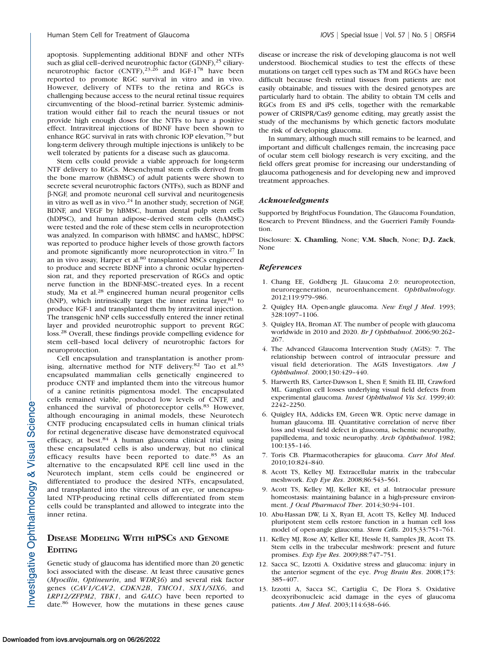apoptosis. Supplementing additional BDNF and other NTFs such as glial cell-derived neurotrophic factor (GDNF),<sup>25</sup> ciliaryneurotrophic factor  $(CNTF),^{23,26}$  and IGF-1<sup>78</sup> have been reported to promote RGC survival in vitro and in vivo. However, delivery of NTFs to the retina and RGCs is challenging because access to the neural retinal tissue requires circumventing of the blood–retinal barrier. Systemic administration would either fail to reach the neural tissues or not provide high enough doses for the NTFs to have a positive effect. Intravitreal injections of BDNF have been shown to enhance RGC survival in rats with chronic IOP elevation,<sup>79</sup> but long-term delivery through multiple injections is unlikely to be well tolerated by patients for a disease such as glaucoma.

Stem cells could provide a viable approach for long-term NTF delivery to RGCs. Mesenchymal stem cells derived from the bone marrow (hBMSC) of adult patients were shown to secrete several neurotrophic factors (NTFs), such as BDNF and b-NGF, and promote neuronal cell survival and neuritogenesis in vitro as well as in vivo.<sup>24</sup> In another study, secretion of NGF, BDNF, and VEGF by hBMSC, human dental pulp stem cells (hDPSC), and human adipose–derived stem cells (hAMSC) were tested and the role of these stem cells in neuroprotection was analyzed. In comparison with hBMSC and hAMSC, hDPSC was reported to produce higher levels of those growth factors and promote significantly more neuroprotection in vitro.<sup>27</sup> In an in vivo assay, Harper et al.<sup>80</sup> transplanted MSCs engineered to produce and secrete BDNF into a chronic ocular hypertension rat, and they reported preservation of RGCs and optic nerve function in the BDNF-MSC–treated eyes. In a recent study, Ma et al.<sup>28</sup> engineered human neural progenitor cells (hNP), which intrinsically target the inner retina layer, $81$  to produce IGF-1 and transplanted them by intravitreal injection. The transgenic hNP cells successfully entered the inner retinal layer and provided neurotrophic support to prevent RGC loss.<sup>28</sup> Overall, these findings provide compelling evidence for stem cell–based local delivery of neurotrophic factors for neuroprotection.

Cell encapsulation and transplantation is another promising, alternative method for NTF delivery.<sup>82</sup> Tao et al.<sup>83</sup> encapsulated mammalian cells genetically engineered to produce CNTF and implanted them into the vitreous humor of a canine retinitis pigmentosa model. The encapsulated cells remained viable, produced low levels of CNTF, and enhanced the survival of photoreceptor cells.<sup>83</sup> However, although encouraging in animal models, these Neurotech CNTF producing encapsulated cells in human clinical trials for retinal degenerative disease have demonstrated equivocal efficacy, at best.<sup>84</sup> A human glaucoma clinical trial using these encapsulated cells is also underway, but no clinical efficacy results have been reported to date.<sup>85</sup> As an alternative to the encapsulated RPE cell line used in the Neurotech implant, stem cells could be engineered or differentiated to produce the desired NTFs, encapsulated, and transplanted into the vitreous of an eye, or unencapsulated NTP-producing retinal cells differentiated from stem cells could be transplanted and allowed to integrate into the inner retina.

## DISEASE MODELING WITH HIPSCS AND GENOME **EDITING**

Genetic study of glaucoma has identified more than 20 genetic loci associated with the disease. At least three causative genes (Myocilin, Optineurin, and WDR36) and several risk factor genes (CAV1/CAV2, CDKN2B, TMCO1, SIX1/SIX6, and LRP12/ZFPM2, TBK1, and GALC) have been reported to date.<sup>86</sup> However, how the mutations in these genes cause disease or increase the risk of developing glaucoma is not well understood. Biochemical studies to test the effects of these mutations on target cell types such as TM and RGCs have been difficult because fresh retinal tissues from patients are not easily obtainable, and tissues with the desired genotypes are particularly hard to obtain. The ability to obtain TM cells and RGCs from ES and iPS cells, together with the remarkable power of CRISPR/Cas9 genome editing, may greatly assist the study of the mechanisms by which genetic factors modulate the risk of developing glaucoma.

In summary, although much still remains to be learned, and important and difficult challenges remain, the increasing pace of ocular stem cell biology research is very exciting, and the field offers great promise for increasing our understanding of glaucoma pathogenesis and for developing new and improved treatment approaches.

#### Acknowledgments

Supported by BrightFocus Foundation, The Glaucoma Foundation, Research to Prevent Blindness, and the Guerrieri Family Foundation.

Disclosure: X. Chamling, None; V.M. Sluch, None; D.J. Zack, None

#### **References**

- 1. Chang EE, Goldberg JL. Glaucoma 2.0: neuroprotection, neuroregeneration, neuroenhancement. Ophthalmology. 2012;119:979–986.
- 2. Quigley HA. Open-angle glaucoma. New Engl J Med. 1993; 328:1097–1106.
- 3. Quigley HA, Broman AT. The number of people with glaucoma worldwide in 2010 and 2020. Br J Ophthalmol. 2006;90:262– 267.
- 4. The Advanced Glaucoma Intervention Study (AGIS): 7. The relationship between control of intraocular pressure and visual field deterioration. The AGIS Investigators.  $Am \, J$ Ophthalmol. 2000;130:429–440.
- 5. Harwerth RS, Carter-Dawson L, Shen F, Smith EL III, Crawford ML. Ganglion cell losses underlying visual field defects from experimental glaucoma. Invest Ophthalmol Vis Sci. 1999;40: 2242–2250.
- 6. Quigley HA, Addicks EM, Green WR. Optic nerve damage in human glaucoma. III. Quantitative correlation of nerve fiber loss and visual field defect in glaucoma, ischemic neuropathy, papilledema, and toxic neuropathy. Arch Ophthalmol. 1982; 100:135–146.
- 7. Toris CB. Pharmacotherapies for glaucoma. Curr Mol Med. 2010;10:824–840.
- 8. Acott TS, Kelley MJ. Extracellular matrix in the trabecular meshwork. Exp Eye Res. 2008;86:543–561.
- 9. Acott TS, Kelley MJ, Keller KE, et al. Intraocular pressure homeostasis: maintaining balance in a high-pressure environment. J Ocul Pharmacol Ther. 2014;30:94-101.
- 10. Abu-Hassan DW, Li X, Ryan EI, Acott TS, Kelley MJ. Induced pluripotent stem cells restore function in a human cell loss model of open-angle glaucoma. Stem Cells. 2015;33:751–761.
- 11. Kelley MJ, Rose AY, Keller KE, Hessle H, Samples JR, Acott TS. Stem cells in the trabecular meshwork: present and future promises. Exp Eye Res. 2009;88:747–751.
- 12. Sacca SC, Izzotti A. Oxidative stress and glaucoma: injury in the anterior segment of the eye. Prog Brain Res. 2008;173: 385–407.
- 13. Izzotti A, Sacca SC, Cartiglia C, De Flora S. Oxidative deoxyribonucleic acid damage in the eyes of glaucoma patients. Am J Med. 2003;114:638–646.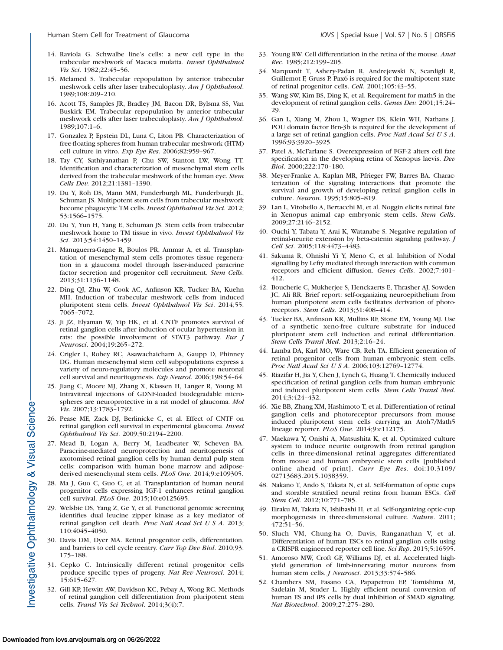- 14. Raviola G. Schwalbe line's cells: a new cell type in the trabecular meshwork of Macaca mulatta. Invest Ophthalmol Vis Sci. 1982;22:45–56.
- 15. Melamed S. Trabecular repopulation by anterior trabecular meshwork cells after laser trabeculoplasty. Am J Ophthalmol. 1989;108:209–210.
- 16. Acott TS, Samples JR, Bradley JM, Bacon DR, Bylsma SS, Van Buskirk EM. Trabecular repopulation by anterior trabecular meshwork cells after laser trabeculoplasty. Am J Ophthalmol. 1989;107:1–6.
- 17. Gonzalez P, Epstein DL, Luna C, Liton PB. Characterization of free-floating spheres from human trabecular meshwork (HTM) cell culture in vitro. Exp Eye Res. 2006;82:959–967.
- 18. Tay CY, Sathiyanathan P, Chu SW, Stanton LW, Wong TT. Identification and characterization of mesenchymal stem cells derived from the trabecular meshwork of the human eye. Stem Cells Dev. 2012;21:1381–1390.
- 19. Du Y, Roh DS, Mann MM, Funderburgh ML, Funderburgh JL, Schuman JS. Multipotent stem cells from trabecular meshwork become phagocytic TM cells. Invest Ophthalmol Vis Sci. 2012; 53:1566–1575.
- 20. Du Y, Yun H, Yang E, Schuman JS. Stem cells from trabecular meshwork home to TM tissue in vivo. Invest Ophthalmol Vis Sci. 2013;54:1450–1459.
- 21. Manuguerra-Gagne R, Boulos PR, Ammar A, et al. Transplantation of mesenchymal stem cells promotes tissue regeneration in a glaucoma model through laser-induced paracrine factor secretion and progenitor cell recruitment. Stem Cells. 2013;31:1136–1148.
- 22. Ding QJ, Zhu W, Cook AC, Anfinson KR, Tucker BA, Kuehn MH. Induction of trabecular meshwork cells from induced pluripotent stem cells. Invest Ophthalmol Vis Sci. 2014;55: 7065–7072.
- 23. Ji JZ, Elyaman W, Yip HK, et al. CNTF promotes survival of retinal ganglion cells after induction of ocular hypertension in rats: the possible involvement of STAT3 pathway. Eur J Neurosci. 2004;19:265–272.
- 24. Crigler L, Robey RC, Asawachaicharn A, Gaupp D, Phinney DG. Human mesenchymal stem cell subpopulations express a variety of neuro-regulatory molecules and promote neuronal cell survival and neuritogenesis. Exp Neurol. 2006;198:54–64.
- 25. Jiang C, Moore MJ, Zhang X, Klassen H, Langer R, Young M. Intravitreal injections of GDNF-loaded biodegradable microspheres are neuroprotective in a rat model of glaucoma. Mol Vis. 2007;13:1783–1792.
- 26. Pease ME, Zack DJ, Berlinicke C, et al. Effect of CNTF on retinal ganglion cell survival in experimental glaucoma. Invest Ophthalmol Vis Sci. 2009;50:2194–2200.
- 27. Mead B, Logan A, Berry M, Leadbeater W, Scheven BA. Paracrine-mediated neuroprotection and neuritogenesis of axotomised retinal ganglion cells by human dental pulp stem cells: comparison with human bone marrow and adiposederived mesenchymal stem cells. PLoS One. 2014;9:e109305.
- 28. Ma J, Guo C, Guo C, et al. Transplantation of human neural progenitor cells expressing IGF-1 enhances retinal ganglion cell survival. PLoS One. 2015;10:e0125695.
- 29. Welsbie DS, Yang Z, Ge Y, et al. Functional genomic screening identifies dual leucine zipper kinase as a key mediator of retinal ganglion cell death. Proc Natl Acad Sci U S A. 2013; 110:4045–4050.
- 30. Davis DM, Dyer MA. Retinal progenitor cells, differentiation, and barriers to cell cycle reentry. Curr Top Dev Biol. 2010;93: 175–188.
- 31. Cepko C. Intrinsically different retinal progenitor cells produce specific types of progeny. Nat Rev Neurosci. 2014; 15:615–627.
- 32. Gill KP, Hewitt AW, Davidson KC, Pebay A, Wong RC. Methods of retinal ganglion cell differentiation from pluripotent stem cells. Transl Vis Sci Technol. 2014;3(4):7.
- 33. Young RW. Cell differentiation in the retina of the mouse. Anat Rec. 1985;212:199–205.
- 34. Marquardt T, Ashery-Padan R, Andrejewski N, Scardigli R, Guillemot F, Gruss P. Pax6 is required for the multipotent state of retinal progenitor cells. Cell. 2001;105:43–55.
- 35. Wang SW, Kim BS, Ding K, et al. Requirement for math5 in the development of retinal ganglion cells. Genes Dev. 2001;15:24– 29.
- 36. Gan L, Xiang M, Zhou L, Wagner DS, Klein WH, Nathans J. POU domain factor Brn-3b is required for the development of a large set of retinal ganglion cells. Proc Natl Acad Sci U S A. 1996;93:3920–3925.
- 37. Patel A, McFarlane S. Overexpression of FGF-2 alters cell fate specification in the developing retina of Xenopus laevis. Dev Biol. 2000;222:170–180.
- 38. Meyer-Franke A, Kaplan MR, Pfrieger FW, Barres BA. Characterization of the signaling interactions that promote the survival and growth of developing retinal ganglion cells in culture. Neuron. 1995;15:805–819.
- 39. Lan L, Vitobello A, Bertacchi M, et al. Noggin elicits retinal fate in Xenopus animal cap embryonic stem cells. Stem Cells. 2009;27:2146–2152.
- 40. Ouchi Y, Tabata Y, Arai K, Watanabe S. Negative regulation of retinal-neurite extension by beta-catenin signaling pathway. J Cell Sci. 2005;118:4473–4483.
- 41. Sakuma R, Ohnishi Yi Y, Meno C, et al. Inhibition of Nodal signalling by Lefty mediated through interaction with common receptors and efficient diffusion. Genes Cells. 2002;7:401– 412.
- 42. Boucherie C, Mukherjee S, Henckaerts E, Thrasher AJ, Sowden JC, Ali RR. Brief report: self-organizing neuroepithelium from human pluripotent stem cells facilitates derivation of photoreceptors. Stem Cells. 2013;31:408–414.
- 43. Tucker BA, Anfinson KR, Mullins RF, Stone EM, Young MJ. Use of a synthetic xeno-free culture substrate for induced pluripotent stem cell induction and retinal differentiation. Stem Cells Transl Med. 2013;2:16–24.
- 44. Lamba DA, Karl MO, Ware CB, Reh TA. Efficient generation of retinal progenitor cells from human embryonic stem cells. Proc Natl Acad Sci U S A. 2006;103:12769–12774.
- 45. Riazifar H, Jia Y, Chen J, Lynch G, Huang T. Chemically induced specification of retinal ganglion cells from human embryonic and induced pluripotent stem cells. Stem Cells Transl Med. 2014;3:424–432.
- 46. Xie BB, Zhang XM, Hashimoto T, et al. Differentiation of retinal ganglion cells and photoreceptor precursors from mouse induced pluripotent stem cells carrying an Atoh7/Math5 lineage reporter. PLoS One. 2014;9:e112175.
- 47. Maekawa Y, Onishi A, Matsushita K, et al. Optimized culture system to induce neurite outgrowth from retinal ganglion cells in three-dimensional retinal aggregates differentiated from mouse and human embryonic stem cells [published online ahead of print]. Curr Eye Res. doi:10.3109/ 02713683.2015.1038359.
- 48. Nakano T, Ando S, Takata N, et al. Self-formation of optic cups and storable stratified neural retina from human ESCs. Cell Stem Cell. 2012;10:771–785.
- 49. Eiraku M, Takata N, Ishibashi H, et al. Self-organizing optic-cup morphogenesis in three-dimensional culture. Nature. 2011; 472:51–56.
- 50. Sluch VM, Chung-ha O, Davis, Ranganathan V, et al. Differentiation of human ESCs to retinal ganglion cells using a CRISPR engineered reporter cell line. Sci Rep. 2015;5:16595.
- 51. Amoroso MW, Croft GF, Williams DJ, et al. Accelerated highyield generation of limb-innervating motor neurons from human stem cells. J Neurosci. 2013;33:574–586.
- 52. Chambers SM, Fasano CA, Papapetrou EP, Tomishima M, Sadelain M, Studer L. Highly efficient neural conversion of human ES and iPS cells by dual inhibition of SMAD signaling. Nat Biotechnol. 2009;27:275–280.